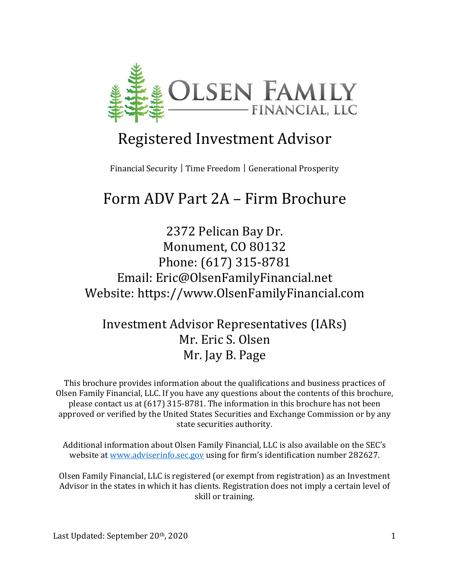

# Registered Investment Advisor

Financial Security | Time Freedom | Generational Prosperity

# Form ADV Part 2A – Firm Brochure

2372 Pelican Bay Dr. Monument, CO 80132 Phone: (617) 315-8781 Email: Eric@OlsenFamilyFinancial.net Website: https://www.OlsenFamilyFinancial.com

Investment Advisor Representatives (IARs) Mr. Eric S. Olsen Mr. Jay B. Page

This brochure provides information about the qualifications and business practices of Olsen Family Financial, LLC. If you have any questions about the contents of this brochure, please contact us at  $(617)$  315-8781. The information in this brochure has not been approved or verified by the United States Securities and Exchange Commission or by any state securities authority.

Additional information about Olsen Family Financial, LLC is also available on the SEC's website at www.adviserinfo.sec.gov using for firm's identification number 282627.

Olsen Family Financial, LLC is registered (or exempt from registration) as an Investment Advisor in the states in which it has clients. Registration does not imply a certain level of skill or training.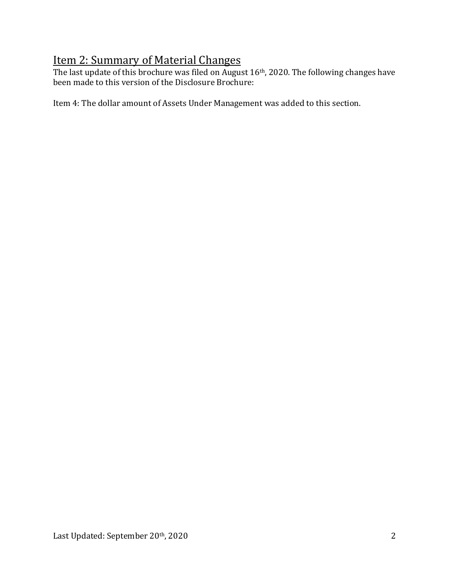# Item 2: Summary of Material Changes

The last update of this brochure was filed on August 16<sup>th</sup>, 2020. The following changes have been made to this version of the Disclosure Brochure:

Item 4: The dollar amount of Assets Under Management was added to this section.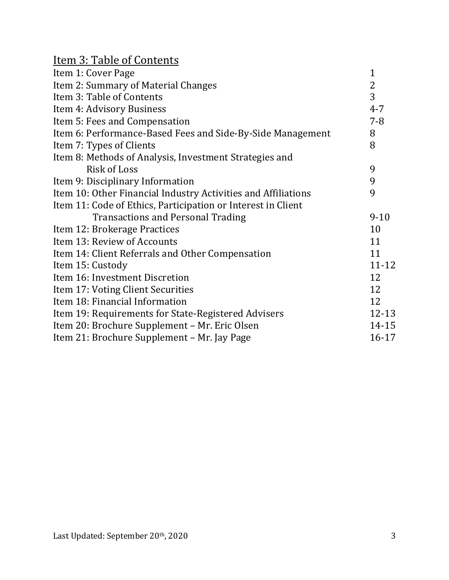| <u> Item 3: Table of Contents</u>                             |                |
|---------------------------------------------------------------|----------------|
| Item 1: Cover Page                                            | $\mathbf{1}$   |
| Item 2: Summary of Material Changes                           | 2              |
| Item 3: Table of Contents                                     | $\overline{3}$ |
| Item 4: Advisory Business                                     | $4 - 7$        |
| Item 5: Fees and Compensation                                 | $7 - 8$        |
| Item 6: Performance-Based Fees and Side-By-Side Management    | 8              |
| Item 7: Types of Clients                                      | 8              |
| Item 8: Methods of Analysis, Investment Strategies and        |                |
| <b>Risk of Loss</b>                                           | 9              |
| Item 9: Disciplinary Information                              | 9              |
| Item 10: Other Financial Industry Activities and Affiliations | 9              |
| Item 11: Code of Ethics, Participation or Interest in Client  |                |
| <b>Transactions and Personal Trading</b>                      | $9 - 10$       |
| Item 12: Brokerage Practices                                  | 10             |
| Item 13: Review of Accounts                                   | 11             |
| Item 14: Client Referrals and Other Compensation              | 11             |
| Item 15: Custody                                              | $11 - 12$      |
| Item 16: Investment Discretion                                | 12             |
| Item 17: Voting Client Securities                             | 12             |
| Item 18: Financial Information                                | 12             |
| Item 19: Requirements for State-Registered Advisers           | 12-13          |
| Item 20: Brochure Supplement - Mr. Eric Olsen                 | 14-15          |
| Item 21: Brochure Supplement - Mr. Jay Page                   | $16 - 17$      |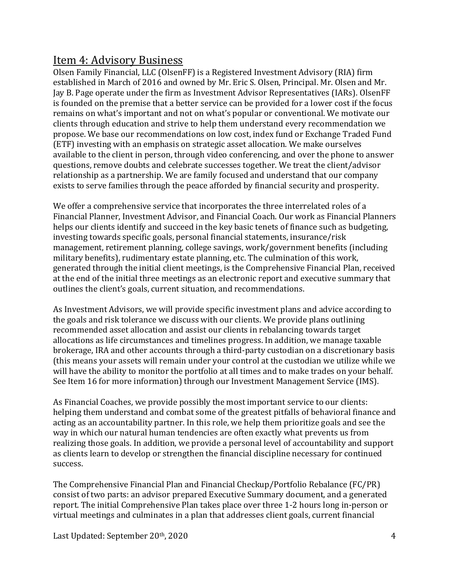#### Item 4: Advisory Business

Olsen Family Financial, LLC (OlsenFF) is a Registered Investment Advisory (RIA) firm established in March of 2016 and owned by Mr. Eric S. Olsen, Principal. Mr. Olsen and Mr. Jay B. Page operate under the firm as Investment Advisor Representatives (IARs). OlsenFF is founded on the premise that a better service can be provided for a lower cost if the focus remains on what's important and not on what's popular or conventional. We motivate our clients through education and strive to help them understand every recommendation we propose. We base our recommendations on low cost, index fund or Exchange Traded Fund (ETF) investing with an emphasis on strategic asset allocation. We make ourselves available to the client in person, through video conferencing, and over the phone to answer questions, remove doubts and celebrate successes together. We treat the client/advisor relationship as a partnership. We are family focused and understand that our company exists to serve families through the peace afforded by financial security and prosperity.

We offer a comprehensive service that incorporates the three interrelated roles of a Financial Planner, Investment Advisor, and Financial Coach. Our work as Financial Planners helps our clients identify and succeed in the key basic tenets of finance such as budgeting, investing towards specific goals, personal financial statements, insurance/risk management, retirement planning, college savings, work/government benefits (including military benefits), rudimentary estate planning, etc. The culmination of this work, generated through the initial client meetings, is the Comprehensive Financial Plan, received at the end of the initial three meetings as an electronic report and executive summary that outlines the client's goals, current situation, and recommendations.

As Investment Advisors, we will provide specific investment plans and advice according to the goals and risk tolerance we discuss with our clients. We provide plans outlining recommended asset allocation and assist our clients in rebalancing towards target allocations as life circumstances and timelines progress. In addition, we manage taxable brokerage, IRA and other accounts through a third-party custodian on a discretionary basis (this means your assets will remain under your control at the custodian we utilize while we will have the ability to monitor the portfolio at all times and to make trades on your behalf. See Item 16 for more information) through our Investment Management Service (IMS).

As Financial Coaches, we provide possibly the most important service to our clients: helping them understand and combat some of the greatest pitfalls of behavioral finance and acting as an accountability partner. In this role, we help them prioritize goals and see the way in which our natural human tendencies are often exactly what prevents us from realizing those goals. In addition, we provide a personal level of accountability and support as clients learn to develop or strengthen the financial discipline necessary for continued success.

The Comprehensive Financial Plan and Financial Checkup/Portfolio Rebalance (FC/PR) consist of two parts: an advisor prepared Executive Summary document, and a generated report. The initial Comprehensive Plan takes place over three 1-2 hours long in-person or virtual meetings and culminates in a plan that addresses client goals, current financial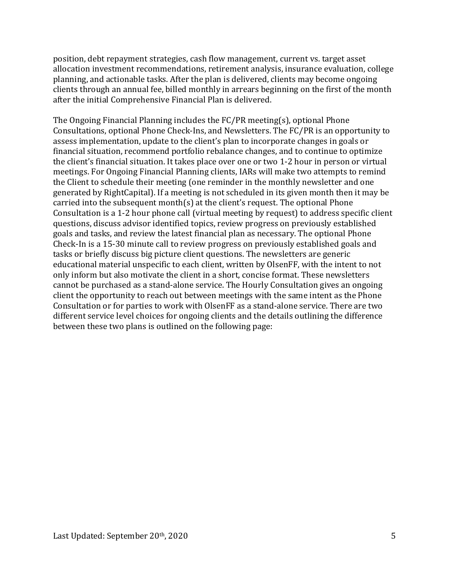position, debt repayment strategies, cash flow management, current vs. target asset allocation investment recommendations, retirement analysis, insurance evaluation, college planning, and actionable tasks. After the plan is delivered, clients may become ongoing clients through an annual fee, billed monthly in arrears beginning on the first of the month after the initial Comprehensive Financial Plan is delivered.

The Ongoing Financial Planning includes the FC/PR meeting(s), optional Phone Consultations, optional Phone Check-Ins, and Newsletters. The FC/PR is an opportunity to assess implementation, update to the client's plan to incorporate changes in goals or financial situation, recommend portfolio rebalance changes, and to continue to optimize the client's financial situation. It takes place over one or two 1-2 hour in person or virtual meetings. For Ongoing Financial Planning clients, IARs will make two attempts to remind the Client to schedule their meeting (one reminder in the monthly newsletter and one generated by RightCapital). If a meeting is not scheduled in its given month then it may be carried into the subsequent month(s) at the client's request. The optional Phone Consultation is a 1-2 hour phone call (virtual meeting by request) to address specific client questions, discuss advisor identified topics, review progress on previously established goals and tasks, and review the latest financial plan as necessary. The optional Phone Check-In is a 15-30 minute call to review progress on previously established goals and tasks or briefly discuss big picture client questions. The newsletters are generic educational material unspecific to each client, written by OlsenFF, with the intent to not only inform but also motivate the client in a short, concise format. These newsletters cannot be purchased as a stand-alone service. The Hourly Consultation gives an ongoing client the opportunity to reach out between meetings with the same intent as the Phone Consultation or for parties to work with OlsenFF as a stand-alone service. There are two different service level choices for ongoing clients and the details outlining the difference between these two plans is outlined on the following page: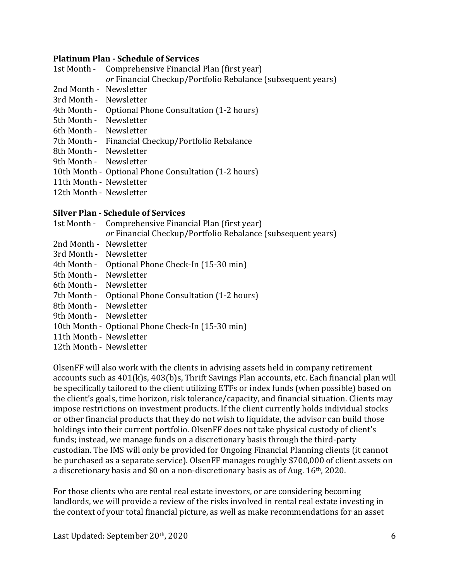#### **Platinum Plan - Schedule of Services**

- 1st Month Comprehensive Financial Plan (first year)
	- or Financial Checkup/Portfolio Rebalance (subsequent years)
- 2nd Month Newsletter
- 3rd Month Newsletter
- 4th Month Optional Phone Consultation (1-2 hours)
- 5th Month Newsletter
- 6th Month Newsletter
- 7th Month Financial Checkup/Portfolio Rebalance
- 8th Month Newsletter
- 9th Month Newsletter
- 10th Month Optional Phone Consultation (1-2 hours)
- 11th Month Newsletter
- 12th Month Newsletter

#### **Silver Plan - Schedule of Services**

- 1st Month Comprehensive Financial Plan (first year) *or* Financial Checkup/Portfolio Rebalance (subsequent years)
- 2nd Month Newsletter
- 3rd Month Newsletter
- 4th Month Optional Phone Check-In (15-30 min)
- 5th Month Newsletter
- 6th Month Newsletter
- 7th Month Optional Phone Consultation (1-2 hours)
- 8th Month Newsletter
- 9th Month Newsletter
- 10th Month Optional Phone Check-In (15-30 min)
- 11th Month Newsletter
- 12th Month Newsletter

OlsenFF will also work with the clients in advising assets held in company retirement accounts such as  $401(k)s$ ,  $403(b)s$ , Thrift Savings Plan accounts, etc. Each financial plan will be specifically tailored to the client utilizing ETFs or index funds (when possible) based on the client's goals, time horizon, risk tolerance/capacity, and financial situation. Clients may impose restrictions on investment products. If the client currently holds individual stocks or other financial products that they do not wish to liquidate, the advisor can build those holdings into their current portfolio. OlsenFF does not take physical custody of client's funds; instead, we manage funds on a discretionary basis through the third-party custodian. The IMS will only be provided for Ongoing Financial Planning clients (it cannot be purchased as a separate service). OlsenFF manages roughly \$700,000 of client assets on a discretionary basis and \$0 on a non-discretionary basis as of Aug. 16<sup>th</sup>, 2020.

For those clients who are rental real estate investors, or are considering becoming landlords, we will provide a review of the risks involved in rental real estate investing in the context of your total financial picture, as well as make recommendations for an asset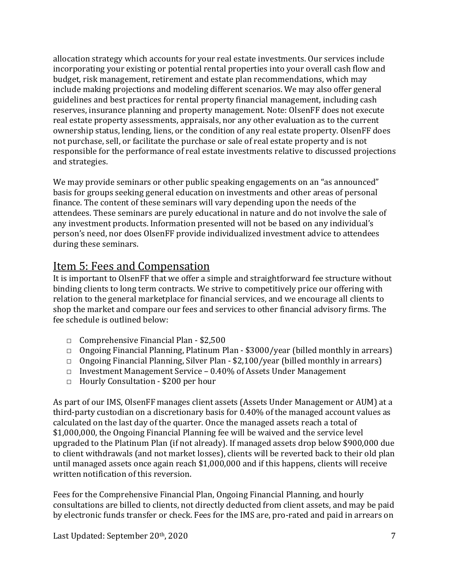allocation strategy which accounts for your real estate investments. Our services include incorporating your existing or potential rental properties into your overall cash flow and budget, risk management, retirement and estate plan recommendations, which may include making projections and modeling different scenarios. We may also offer general guidelines and best practices for rental property financial management, including cash reserves, insurance planning and property management. Note: OlsenFF does not execute real estate property assessments, appraisals, nor any other evaluation as to the current ownership status, lending, liens, or the condition of any real estate property. OlsenFF does not purchase, sell, or facilitate the purchase or sale of real estate property and is not responsible for the performance of real estate investments relative to discussed projections and strategies.

We may provide seminars or other public speaking engagements on an "as announced" basis for groups seeking general education on investments and other areas of personal finance. The content of these seminars will vary depending upon the needs of the attendees. These seminars are purely educational in nature and do not involve the sale of any investment products. Information presented will not be based on any individual's person's need, nor does OlsenFF provide individualized investment advice to attendees during these seminars.

# Item 5: Fees and Compensation

It is important to OlsenFF that we offer a simple and straightforward fee structure without binding clients to long term contracts. We strive to competitively price our offering with relation to the general marketplace for financial services, and we encourage all clients to shop the market and compare our fees and services to other financial advisory firms. The fee schedule is outlined below:

- $\Box$  Comprehensive Financial Plan \$2,500
- $\Box$  Ongoing Financial Planning, Platinum Plan \$3000/year (billed monthly in arrears)
- $\Box$  Ongoing Financial Planning, Silver Plan \$2,100/year (billed monthly in arrears)
- $\Box$  Investment Management Service 0.40% of Assets Under Management
- □ Hourly Consultation \$200 per hour

As part of our IMS, OlsenFF manages client assets (Assets Under Management or AUM) at a third-party custodian on a discretionary basis for 0.40% of the managed account values as calculated on the last day of the quarter. Once the managed assets reach a total of \$1,000,000, the Ongoing Financial Planning fee will be waived and the service level upgraded to the Platinum Plan (if not already). If managed assets drop below \$900,000 due to client withdrawals (and not market losses), clients will be reverted back to their old plan until managed assets once again reach  $$1,000,000$  and if this happens, clients will receive written notification of this reversion.

Fees for the Comprehensive Financial Plan, Ongoing Financial Planning, and hourly consultations are billed to clients, not directly deducted from client assets, and may be paid by electronic funds transfer or check. Fees for the IMS are, pro-rated and paid in arrears on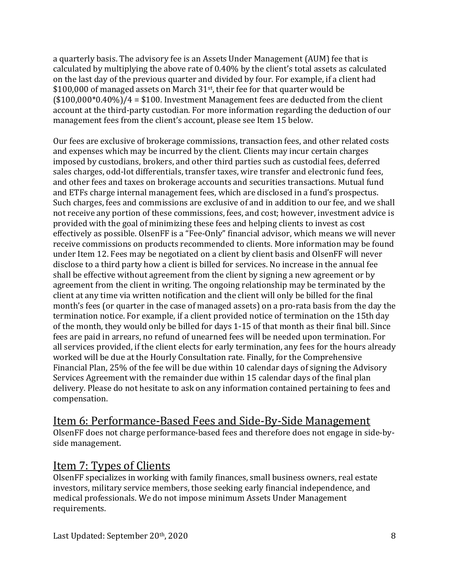a quarterly basis. The advisory fee is an Assets Under Management (AUM) fee that is calculated by multiplying the above rate of 0.40% by the client's total assets as calculated on the last day of the previous quarter and divided by four. For example, if a client had \$100,000 of managed assets on March  $31<sup>st</sup>$ , their fee for that quarter would be  $($100,000*0.40\%)$ /4 = \$100. Investment Management fees are deducted from the client account at the third-party custodian. For more information regarding the deduction of our management fees from the client's account, please see Item 15 below.

Our fees are exclusive of brokerage commissions, transaction fees, and other related costs and expenses which may be incurred by the client. Clients may incur certain charges imposed by custodians, brokers, and other third parties such as custodial fees, deferred sales charges, odd-lot differentials, transfer taxes, wire transfer and electronic fund fees, and other fees and taxes on brokerage accounts and securities transactions. Mutual fund and ETFs charge internal management fees, which are disclosed in a fund's prospectus. Such charges, fees and commissions are exclusive of and in addition to our fee, and we shall not receive any portion of these commissions, fees, and cost; however, investment advice is provided with the goal of minimizing these fees and helping clients to invest as cost effectively as possible. OlsenFF is a "Fee-Only" financial advisor, which means we will never receive commissions on products recommended to clients. More information may be found under Item 12. Fees may be negotiated on a client by client basis and OlsenFF will never disclose to a third party how a client is billed for services. No increase in the annual fee shall be effective without agreement from the client by signing a new agreement or by agreement from the client in writing. The ongoing relationship may be terminated by the client at any time via written notification and the client will only be billed for the final month's fees (or quarter in the case of managed assets) on a pro-rata basis from the day the termination notice. For example, if a client provided notice of termination on the 15th day of the month, they would only be billed for days 1-15 of that month as their final bill. Since fees are paid in arrears, no refund of unearned fees will be needed upon termination. For all services provided, if the client elects for early termination, any fees for the hours already worked will be due at the Hourly Consultation rate. Finally, for the Comprehensive Financial Plan, 25% of the fee will be due within 10 calendar days of signing the Advisory Services Agreement with the remainder due within 15 calendar days of the final plan delivery. Please do not hesitate to ask on any information contained pertaining to fees and compensation.

#### Item 6: Performance-Based Fees and Side-By-Side Management

OlsenFF does not charge performance-based fees and therefore does not engage in side-byside management.

#### Item 7: Types of Clients

OlsenFF specializes in working with family finances, small business owners, real estate investors, military service members, those seeking early financial independence, and medical professionals. We do not impose minimum Assets Under Management requirements.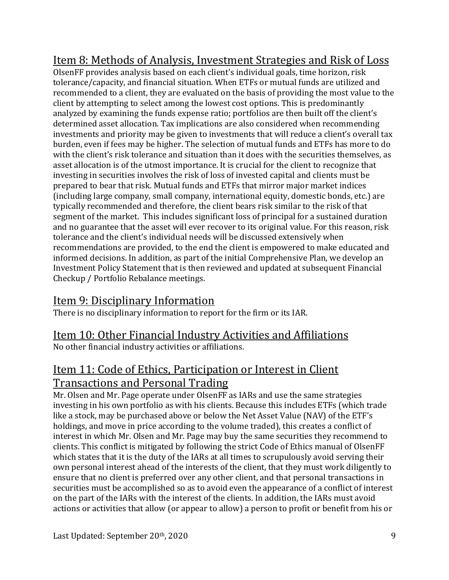# Item 8: Methods of Analysis, Investment Strategies and Risk of Loss

OlsenFF provides analysis based on each client's individual goals, time horizon, risk tolerance/capacity, and financial situation. When ETFs or mutual funds are utilized and recommended to a client, they are evaluated on the basis of providing the most value to the client by attempting to select among the lowest cost options. This is predominantly analyzed by examining the funds expense ratio; portfolios are then built off the client's determined asset allocation. Tax implications are also considered when recommending investments and priority may be given to investments that will reduce a client's overall tax burden, even if fees may be higher. The selection of mutual funds and ETFs has more to do with the client's risk tolerance and situation than it does with the securities themselves, as asset allocation is of the utmost importance. It is crucial for the client to recognize that investing in securities involves the risk of loss of invested capital and clients must be prepared to bear that risk. Mutual funds and ETFs that mirror major market indices (including large company, small company, international equity, domestic bonds, etc.) are typically recommended and therefore, the client bears risk similar to the risk of that segment of the market. This includes significant loss of principal for a sustained duration and no guarantee that the asset will ever recover to its original value. For this reason, risk tolerance and the client's individual needs will be discussed extensively when recommendations are provided, to the end the client is empowered to make educated and informed decisions. In addition, as part of the initial Comprehensive Plan, we develop an Investment Policy Statement that is then reviewed and updated at subsequent Financial Checkup / Portfolio Rebalance meetings.

# Item 9: Disciplinary Information

There is no disciplinary information to report for the firm or its IAR.

# Item 10: Other Financial Industry Activities and Affiliations

No other financial industry activities or affiliations.

# Item 11: Code of Ethics, Participation or Interest in Client Transactions and Personal Trading

Mr. Olsen and Mr. Page operate under OlsenFF as IARs and use the same strategies investing in his own portfolio as with his clients. Because this includes ETFs (which trade like a stock, may be purchased above or below the Net Asset Value (NAV) of the ETF's holdings, and move in price according to the volume traded), this creates a conflict of interest in which Mr. Olsen and Mr. Page may buy the same securities they recommend to clients. This conflict is mitigated by following the strict Code of Ethics manual of OlsenFF which states that it is the duty of the IARs at all times to scrupulously avoid serving their own personal interest ahead of the interests of the client, that they must work diligently to ensure that no client is preferred over any other client, and that personal transactions in securities must be accomplished so as to avoid even the appearance of a conflict of interest on the part of the IARs with the interest of the clients. In addition, the IARs must avoid actions or activities that allow (or appear to allow) a person to profit or benefit from his or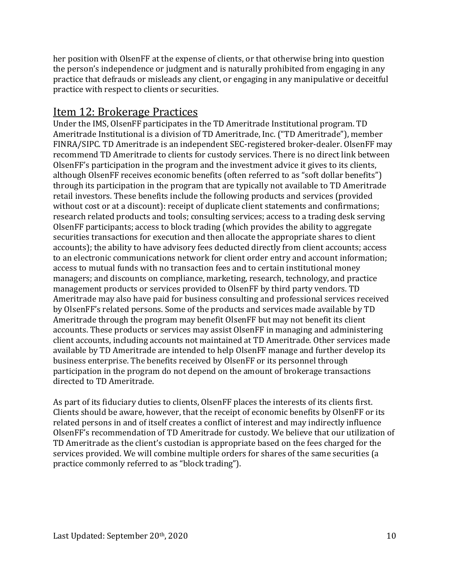her position with OlsenFF at the expense of clients, or that otherwise bring into question the person's independence or judgment and is naturally prohibited from engaging in any practice that defrauds or misleads any client, or engaging in any manipulative or deceitful practice with respect to clients or securities.

#### Item 12: Brokerage Practices

Under the IMS, OlsenFF participates in the TD Ameritrade Institutional program. TD Ameritrade Institutional is a division of TD Ameritrade, Inc. ("TD Ameritrade"), member FINRA/SIPC. TD Ameritrade is an independent SEC-registered broker-dealer. OlsenFF may recommend TD Ameritrade to clients for custody services. There is no direct link between OlsenFF's participation in the program and the investment advice it gives to its clients, although OlsenFF receives economic benefits (often referred to as "soft dollar benefits") through its participation in the program that are typically not available to TD Ameritrade retail investors. These benefits include the following products and services (provided without cost or at a discount): receipt of duplicate client statements and confirmations; research related products and tools; consulting services; access to a trading desk serving OlsenFF participants; access to block trading (which provides the ability to aggregate securities transactions for execution and then allocate the appropriate shares to client accounts); the ability to have advisory fees deducted directly from client accounts; access to an electronic communications network for client order entry and account information; access to mutual funds with no transaction fees and to certain institutional money managers; and discounts on compliance, marketing, research, technology, and practice management products or services provided to OlsenFF by third party vendors. TD Ameritrade may also have paid for business consulting and professional services received by OlsenFF's related persons. Some of the products and services made available by TD Ameritrade through the program may benefit OlsenFF but may not benefit its client accounts. These products or services may assist OlsenFF in managing and administering client accounts, including accounts not maintained at TD Ameritrade. Other services made available by TD Ameritrade are intended to help OlsenFF manage and further develop its business enterprise. The benefits received by OlsenFF or its personnel through participation in the program do not depend on the amount of brokerage transactions directed to TD Ameritrade.

As part of its fiduciary duties to clients, OlsenFF places the interests of its clients first. Clients should be aware, however, that the receipt of economic benefits by OlsenFF or its related persons in and of itself creates a conflict of interest and may indirectly influence OlsenFF's recommendation of TD Ameritrade for custody. We believe that our utilization of TD Ameritrade as the client's custodian is appropriate based on the fees charged for the services provided. We will combine multiple orders for shares of the same securities (a practice commonly referred to as "block trading").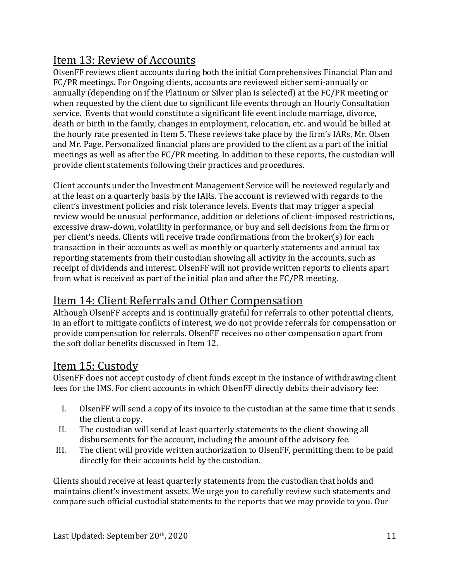# Item 13: Review of Accounts

OlsenFF reviews client accounts during both the initial Comprehensives Financial Plan and FC/PR meetings. For Ongoing clients, accounts are reviewed either semi-annually or annually (depending on if the Platinum or Silver plan is selected) at the FC/PR meeting or when requested by the client due to significant life events through an Hourly Consultation service. Events that would constitute a significant life event include marriage, divorce, death or birth in the family, changes in employment, relocation, etc. and would be billed at the hourly rate presented in Item 5. These reviews take place by the firm's IARs, Mr. Olsen and Mr. Page. Personalized financial plans are provided to the client as a part of the initial meetings as well as after the FC/PR meeting. In addition to these reports, the custodian will provide client statements following their practices and procedures.

Client accounts under the Investment Management Service will be reviewed regularly and at the least on a quarterly basis by the IARs. The account is reviewed with regards to the client's investment policies and risk tolerance levels. Events that may trigger a special review would be unusual performance, addition or deletions of client-imposed restrictions, excessive draw-down, volatility in performance, or buy and sell decisions from the firm or per client's needs. Clients will receive trade confirmations from the broker(s) for each transaction in their accounts as well as monthly or quarterly statements and annual tax reporting statements from their custodian showing all activity in the accounts, such as receipt of dividends and interest. OlsenFF will not provide written reports to clients apart from what is received as part of the initial plan and after the FC/PR meeting.

# Item 14: Client Referrals and Other Compensation

Although OlsenFF accepts and is continually grateful for referrals to other potential clients, in an effort to mitigate conflicts of interest, we do not provide referrals for compensation or provide compensation for referrals. OlsenFF receives no other compensation apart from the soft dollar benefits discussed in Item 12.

# Item 15: Custody

OlsenFF does not accept custody of client funds except in the instance of withdrawing client fees for the IMS. For client accounts in which OlsenFF directly debits their advisory fee:

- I. OlsenFF will send a copy of its invoice to the custodian at the same time that it sends the client a copy.
- II. The custodian will send at least quarterly statements to the client showing all disbursements for the account, including the amount of the advisory fee.
- III. The client will provide written authorization to OlsenFF, permitting them to be paid directly for their accounts held by the custodian.

Clients should receive at least quarterly statements from the custodian that holds and maintains client's investment assets. We urge you to carefully review such statements and compare such official custodial statements to the reports that we may provide to you. Our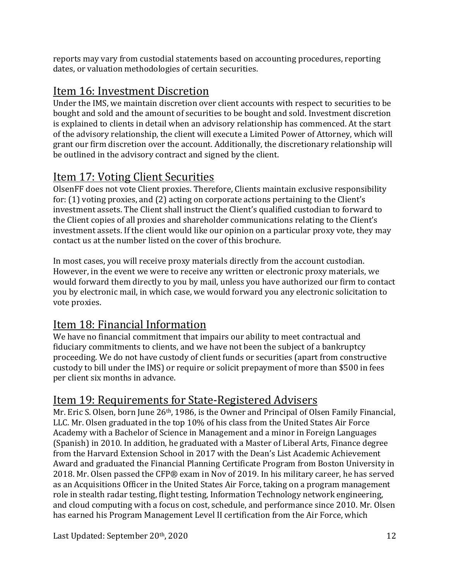reports may vary from custodial statements based on accounting procedures, reporting dates, or valuation methodologies of certain securities.

# Item 16: Investment Discretion

Under the IMS, we maintain discretion over client accounts with respect to securities to be bought and sold and the amount of securities to be bought and sold. Investment discretion is explained to clients in detail when an advisory relationship has commenced. At the start of the advisory relationship, the client will execute a Limited Power of Attorney, which will grant our firm discretion over the account. Additionally, the discretionary relationship will be outlined in the advisory contract and signed by the client.

# Item 17: Voting Client Securities

OlsenFF does not vote Client proxies. Therefore, Clients maintain exclusive responsibility for:  $(1)$  voting proxies, and  $(2)$  acting on corporate actions pertaining to the Client's investment assets. The Client shall instruct the Client's qualified custodian to forward to the Client copies of all proxies and shareholder communications relating to the Client's investment assets. If the client would like our opinion on a particular proxy vote, they may contact us at the number listed on the cover of this brochure.

In most cases, you will receive proxy materials directly from the account custodian. However, in the event we were to receive any written or electronic proxy materials, we would forward them directly to you by mail, unless you have authorized our firm to contact you by electronic mail, in which case, we would forward you any electronic solicitation to vote proxies.

# Item 18: Financial Information

We have no financial commitment that impairs our ability to meet contractual and fiduciary commitments to clients, and we have not been the subject of a bankruptcy proceeding. We do not have custody of client funds or securities (apart from constructive custody to bill under the IMS) or require or solicit prepayment of more than \$500 in fees per client six months in advance.

# Item 19: Requirements for State-Registered Advisers

Mr. Eric S. Olsen, born June  $26<sup>th</sup>$ , 1986, is the Owner and Principal of Olsen Family Financial, LLC. Mr. Olsen graduated in the top 10% of his class from the United States Air Force Academy with a Bachelor of Science in Management and a minor in Foreign Languages (Spanish) in 2010. In addition, he graduated with a Master of Liberal Arts, Finance degree from the Harvard Extension School in 2017 with the Dean's List Academic Achievement Award and graduated the Financial Planning Certificate Program from Boston University in 2018. Mr. Olsen passed the CFP® exam in Nov of 2019. In his military career, he has served as an Acquisitions Officer in the United States Air Force, taking on a program management role in stealth radar testing, flight testing, Information Technology network engineering, and cloud computing with a focus on cost, schedule, and performance since 2010. Mr. Olsen has earned his Program Management Level II certification from the Air Force, which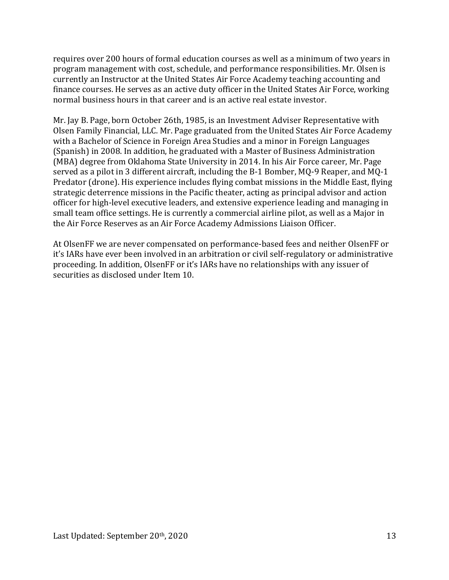requires over 200 hours of formal education courses as well as a minimum of two years in program management with cost, schedule, and performance responsibilities. Mr. Olsen is currently an Instructor at the United States Air Force Academy teaching accounting and finance courses. He serves as an active duty officer in the United States Air Force, working normal business hours in that career and is an active real estate investor.

Mr. Jay B. Page, born October 26th, 1985, is an Investment Adviser Representative with Olsen Family Financial, LLC. Mr. Page graduated from the United States Air Force Academy with a Bachelor of Science in Foreign Area Studies and a minor in Foreign Languages (Spanish) in 2008. In addition, he graduated with a Master of Business Administration (MBA) degree from Oklahoma State University in 2014. In his Air Force career, Mr. Page served as a pilot in 3 different aircraft, including the B-1 Bomber, MQ-9 Reaper, and MQ-1 Predator (drone). His experience includes flying combat missions in the Middle East, flying strategic deterrence missions in the Pacific theater, acting as principal advisor and action officer for high-level executive leaders, and extensive experience leading and managing in small team office settings. He is currently a commercial airline pilot, as well as a Major in the Air Force Reserves as an Air Force Academy Admissions Liaison Officer.

At OlsenFF we are never compensated on performance-based fees and neither OlsenFF or it's IARs have ever been involved in an arbitration or civil self-regulatory or administrative proceeding. In addition, OlsenFF or it's IARs have no relationships with any issuer of securities as disclosed under Item 10.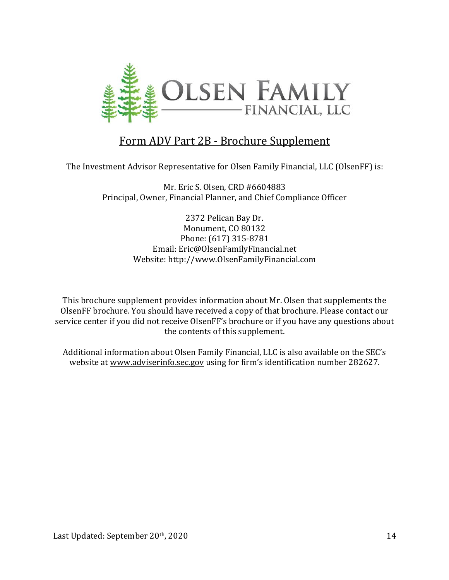

#### Form ADV Part 2B - Brochure Supplement

The Investment Advisor Representative for Olsen Family Financial, LLC (OlsenFF) is:

Mr. Eric S. Olsen, CRD #6604883 Principal, Owner, Financial Planner, and Chief Compliance Officer

> 2372 Pelican Bay Dr. Monument, CO 80132 Phone: (617) 315-8781 Email: Eric@OlsenFamilyFinancial.net Website: http://www.OlsenFamilyFinancial.com

This brochure supplement provides information about Mr. Olsen that supplements the OlsenFF brochure. You should have received a copy of that brochure. Please contact our service center if you did not receive OlsenFF's brochure or if you have any questions about the contents of this supplement.

Additional information about Olsen Family Financial, LLC is also available on the SEC's website at www.adviserinfo.sec.gov using for firm's identification number 282627.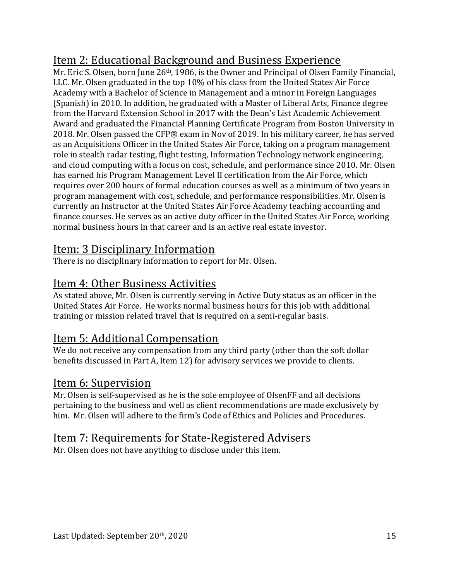# Item 2: Educational Background and Business Experience

Mr. Eric S. Olsen, born June 26<sup>th</sup>, 1986, is the Owner and Principal of Olsen Family Financial, LLC. Mr. Olsen graduated in the top 10% of his class from the United States Air Force Academy with a Bachelor of Science in Management and a minor in Foreign Languages (Spanish) in 2010. In addition, he graduated with a Master of Liberal Arts, Finance degree from the Harvard Extension School in 2017 with the Dean's List Academic Achievement Award and graduated the Financial Planning Certificate Program from Boston University in 2018. Mr. Olsen passed the CFP® exam in Nov of 2019. In his military career, he has served as an Acquisitions Officer in the United States Air Force, taking on a program management role in stealth radar testing, flight testing, Information Technology network engineering, and cloud computing with a focus on cost, schedule, and performance since 2010. Mr. Olsen has earned his Program Management Level II certification from the Air Force, which requires over 200 hours of formal education courses as well as a minimum of two years in program management with cost, schedule, and performance responsibilities. Mr. Olsen is currently an Instructor at the United States Air Force Academy teaching accounting and finance courses. He serves as an active duty officer in the United States Air Force, working normal business hours in that career and is an active real estate investor.

# Item: 3 Disciplinary Information

There is no disciplinary information to report for Mr. Olsen.

# Item 4: Other Business Activities

As stated above, Mr. Olsen is currently serving in Active Duty status as an officer in the United States Air Force. He works normal business hours for this job with additional training or mission related travel that is required on a semi-regular basis.

# Item 5: Additional Compensation

We do not receive any compensation from any third party (other than the soft dollar benefits discussed in Part A, Item 12) for advisory services we provide to clients.

# Item 6: Supervision

Mr. Olsen is self-supervised as he is the sole employee of OlsenFF and all decisions pertaining to the business and well as client recommendations are made exclusively by him. Mr. Olsen will adhere to the firm's Code of Ethics and Policies and Procedures.

# Item 7: Requirements for State-Registered Advisers

Mr. Olsen does not have anything to disclose under this item.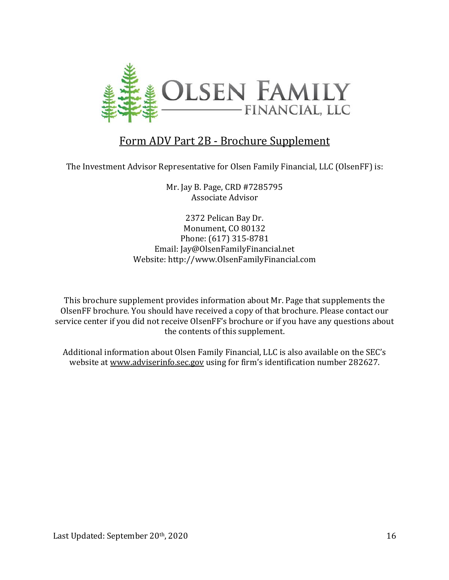

#### Form ADV Part 2B - Brochure Supplement

The Investment Advisor Representative for Olsen Family Financial, LLC (OlsenFF) is:

Mr. Jay B. Page, CRD #7285795 Associate Advisor

2372 Pelican Bay Dr. Monument, CO 80132 Phone: (617) 315-8781 Email: Jay@OlsenFamilyFinancial.net Website: http://www.OlsenFamilyFinancial.com

This brochure supplement provides information about Mr. Page that supplements the OlsenFF brochure. You should have received a copy of that brochure. Please contact our service center if you did not receive OlsenFF's brochure or if you have any questions about the contents of this supplement.

Additional information about Olsen Family Financial, LLC is also available on the SEC's website at www.adviserinfo.sec.gov using for firm's identification number 282627.